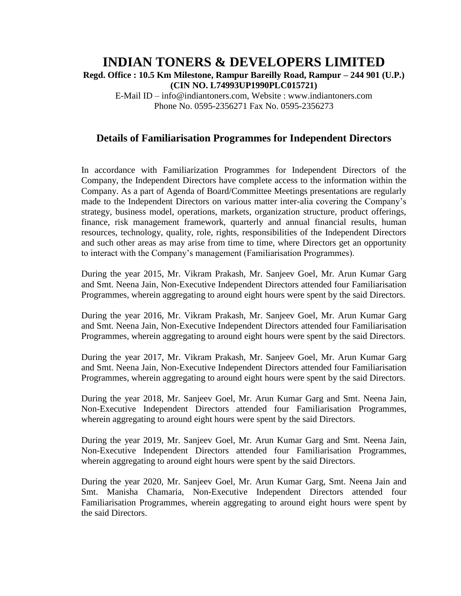## **INDIAN TONERS & DEVELOPERS LIMITED Regd. Office : 10.5 Km Milestone, Rampur Bareilly Road, Rampur – 244 901 (U.P.) (CIN NO. L74993UP1990PLC015721)**

E-Mail ID – info@indiantoners.com, Website : www.indiantoners.com Phone No. 0595-2356271 Fax No. 0595-2356273

## **Details of Familiarisation Programmes for Independent Directors**

In accordance with Familiarization Programmes for Independent Directors of the Company, the Independent Directors have complete access to the information within the Company. As a part of Agenda of Board/Committee Meetings presentations are regularly made to the Independent Directors on various matter inter-alia covering the Company's strategy, business model, operations, markets, organization structure, product offerings, finance, risk management framework, quarterly and annual financial results, human resources, technology, quality, role, rights, responsibilities of the Independent Directors and such other areas as may arise from time to time, where Directors get an opportunity to interact with the Company's management (Familiarisation Programmes).

During the year 2015, Mr. Vikram Prakash, Mr. Sanjeev Goel, Mr. Arun Kumar Garg and Smt. Neena Jain, Non-Executive Independent Directors attended four Familiarisation Programmes, wherein aggregating to around eight hours were spent by the said Directors.

During the year 2016, Mr. Vikram Prakash, Mr. Sanjeev Goel, Mr. Arun Kumar Garg and Smt. Neena Jain, Non-Executive Independent Directors attended four Familiarisation Programmes, wherein aggregating to around eight hours were spent by the said Directors.

During the year 2017, Mr. Vikram Prakash, Mr. Sanjeev Goel, Mr. Arun Kumar Garg and Smt. Neena Jain, Non-Executive Independent Directors attended four Familiarisation Programmes, wherein aggregating to around eight hours were spent by the said Directors.

During the year 2018, Mr. Sanjeev Goel, Mr. Arun Kumar Garg and Smt. Neena Jain, Non-Executive Independent Directors attended four Familiarisation Programmes, wherein aggregating to around eight hours were spent by the said Directors.

During the year 2019, Mr. Sanjeev Goel, Mr. Arun Kumar Garg and Smt. Neena Jain, Non-Executive Independent Directors attended four Familiarisation Programmes, wherein aggregating to around eight hours were spent by the said Directors.

During the year 2020, Mr. Sanjeev Goel, Mr. Arun Kumar Garg, Smt. Neena Jain and Smt. Manisha Chamaria, Non-Executive Independent Directors attended four Familiarisation Programmes, wherein aggregating to around eight hours were spent by the said Directors.